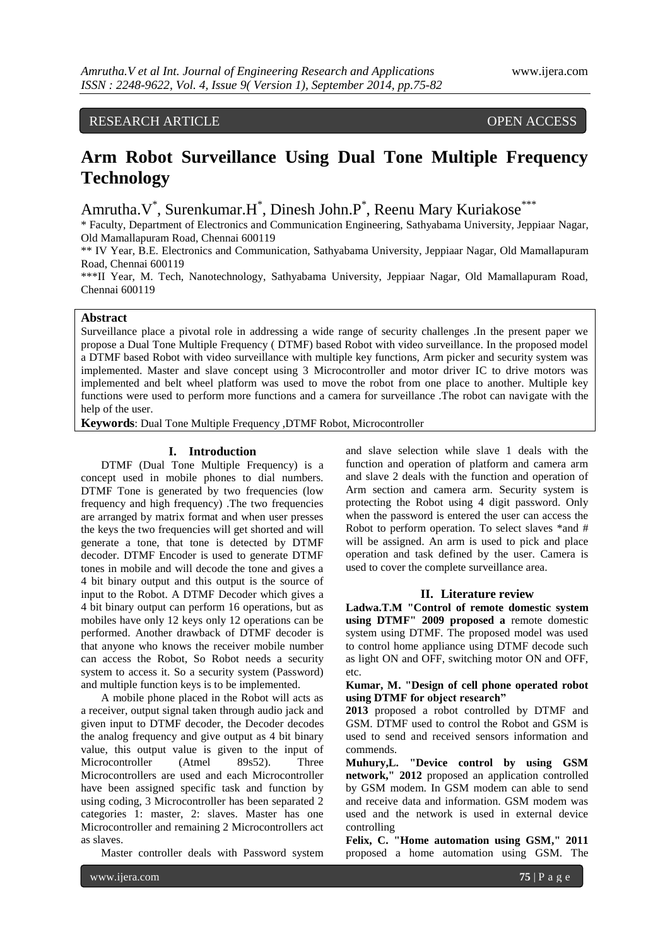# RESEARCH ARTICLE OPEN ACCESS

# **Arm Robot Surveillance Using Dual Tone Multiple Frequency Technology**

Amrutha.V<sup>\*</sup>, Surenkumar.H<sup>\*</sup>, Dinesh John.P<sup>\*</sup>, Reenu Mary Kuriakose<sup>\*\*\*</sup>

\* Faculty, Department of Electronics and Communication Engineering, Sathyabama University, Jeppiaar Nagar, Old Mamallapuram Road, Chennai 600119

\*\* IV Year, B.E. Electronics and Communication, Sathyabama University, Jeppiaar Nagar, Old Mamallapuram Road, Chennai 600119

\*\*\*II Year, M. Tech, Nanotechnology, Sathyabama University, Jeppiaar Nagar, Old Mamallapuram Road, Chennai 600119

# **Abstract**

Surveillance place a pivotal role in addressing a wide range of security challenges .In the present paper we propose a Dual Tone Multiple Frequency ( DTMF) based Robot with video surveillance. In the proposed model a DTMF based Robot with video surveillance with multiple key functions, Arm picker and security system was implemented. Master and slave concept using 3 Microcontroller and motor driver IC to drive motors was implemented and belt wheel platform was used to move the robot from one place to another. Multiple key functions were used to perform more functions and a camera for surveillance .The robot can navigate with the help of the user.

**Keywords**: Dual Tone Multiple Frequency ,DTMF Robot, Microcontroller

#### **I. Introduction**

DTMF (Dual Tone Multiple Frequency) is a concept used in mobile phones to dial numbers. DTMF Tone is generated by two frequencies (low frequency and high frequency) .The two frequencies are arranged by matrix format and when user presses the keys the two frequencies will get shorted and will generate a tone, that tone is detected by DTMF decoder. DTMF Encoder is used to generate DTMF tones in mobile and will decode the tone and gives a 4 bit binary output and this output is the source of input to the Robot. A DTMF Decoder which gives a 4 bit binary output can perform 16 operations, but as mobiles have only 12 keys only 12 operations can be performed. Another drawback of DTMF decoder is that anyone who knows the receiver mobile number can access the Robot, So Robot needs a security system to access it. So a security system (Password) and multiple function keys is to be implemented.

A mobile phone placed in the Robot will acts as a receiver, output signal taken through audio jack and given input to DTMF decoder, the Decoder decodes the analog frequency and give output as 4 bit binary value, this output value is given to the input of Microcontroller (Atmel 89s52). Three Microcontrollers are used and each Microcontroller have been assigned specific task and function by using coding, 3 Microcontroller has been separated 2 categories 1: master, 2: slaves. Master has one Microcontroller and remaining 2 Microcontrollers act as slaves.

Master controller deals with Password system

and slave selection while slave 1 deals with the function and operation of platform and camera arm and slave 2 deals with the function and operation of Arm section and camera arm. Security system is protecting the Robot using 4 digit password. Only when the password is entered the user can access the Robot to perform operation. To select slaves \*and # will be assigned. An arm is used to pick and place operation and task defined by the user. Camera is used to cover the complete surveillance area.

#### **II. Literature review**

**Ladwa.T.M "Control of remote domestic system using DTMF" 2009 proposed a** remote domestic system using DTMF. The proposed model was used to control home appliance using DTMF decode such as light ON and OFF, switching motor ON and OFF, etc.

**Kumar, M. "Design of cell phone operated robot using DTMF for object research"**

**2013** proposed a robot controlled by DTMF and GSM. DTMF used to control the Robot and GSM is used to send and received sensors information and commends.

**Muhury,L. "Device control by using GSM network," 2012** proposed an application controlled by GSM modem. In GSM modem can able to send and receive data and information. GSM modem was used and the network is used in external device controlling

**Felix, C. "Home automation using GSM," 2011**  proposed a home automation using GSM. The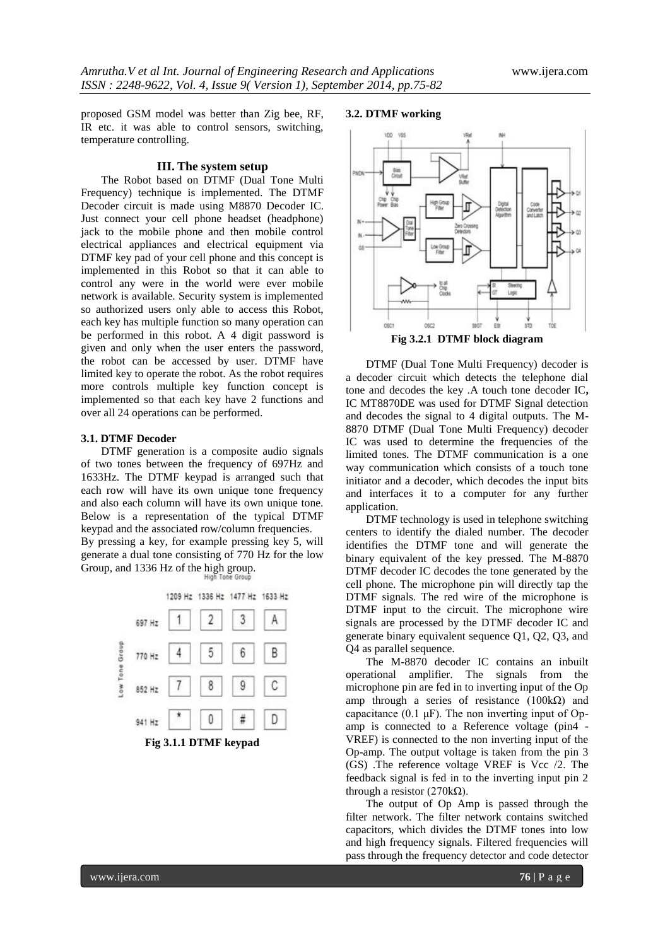proposed GSM model was better than Zig bee, RF, IR etc. it was able to control sensors, switching, temperature controlling.

#### **III. The system setup**

The Robot based on DTMF (Dual Tone Multi Frequency) technique is implemented. The DTMF Decoder circuit is made using M8870 Decoder IC. Just connect your cell phone headset (headphone) jack to the mobile phone and then mobile control electrical appliances and electrical equipment via DTMF key pad of your cell phone and this concept is implemented in this Robot so that it can able to control any were in the world were ever mobile network is available. Security system is implemented so authorized users only able to access this Robot, each key has multiple function so many operation can be performed in this robot. A 4 digit password is given and only when the user enters the password, the robot can be accessed by user. DTMF have limited key to operate the robot. As the robot requires more controls multiple key function concept is implemented so that each key have 2 functions and over all 24 operations can be performed.

#### **3.1. DTMF Decoder**

DTMF generation is a composite audio signals of two tones between the frequency of 697Hz and 1633Hz. The DTMF keypad is arranged such that each row will have its own unique tone frequency and also each column will have its own unique tone. Below is a representation of the typical DTMF keypad and the associated row/column frequencies.

By pressing a key, for example pressing key 5, will generate a dual tone consisting of 770 Hz for the low Group, and 1336 Hz of the high group.



#### **3.2. DTMF working**



DTMF (Dual Tone Multi Frequency) decoder is a decoder circuit which detects the telephone dial tone and decodes the key .A touch tone decoder IC**,** IC MT8870DE was used for DTMF Signal detection and decodes the signal to 4 digital outputs. The M-8870 DTMF (Dual Tone Multi Frequency) decoder IC was used to determine the frequencies of the limited tones. The DTMF communication is a one way communication which consists of a touch tone initiator and a decoder, which decodes the input bits and interfaces it to a computer for any further application.

DTMF technology is used in telephone switching centers to identify the dialed number. The decoder identifies the DTMF tone and will generate the binary equivalent of the key pressed. The M-8870 DTMF decoder IC decodes the tone generated by the cell phone. The microphone pin will directly tap the DTMF signals. The red wire of the microphone is DTMF input to the circuit. The microphone wire signals are processed by the DTMF decoder IC and generate binary equivalent sequence Q1, Q2, Q3, and Q4 as parallel sequence.

The M-8870 decoder IC contains an inbuilt operational amplifier. The signals from the microphone pin are fed in to inverting input of the Op amp through a series of resistance (100kΩ) and capacitance  $(0.1 \mu F)$ . The non inverting input of Opamp is connected to a Reference voltage (pin4 - VREF) is connected to the non inverting input of the Op-amp. The output voltage is taken from the pin 3 (GS) .The reference voltage VREF is Vcc /2. The feedback signal is fed in to the inverting input pin 2 through a resistor (270kΩ).

The output of Op Amp is passed through the filter network. The filter network contains switched capacitors, which divides the DTMF tones into low and high frequency signals. Filtered frequencies will pass through the frequency detector and code detector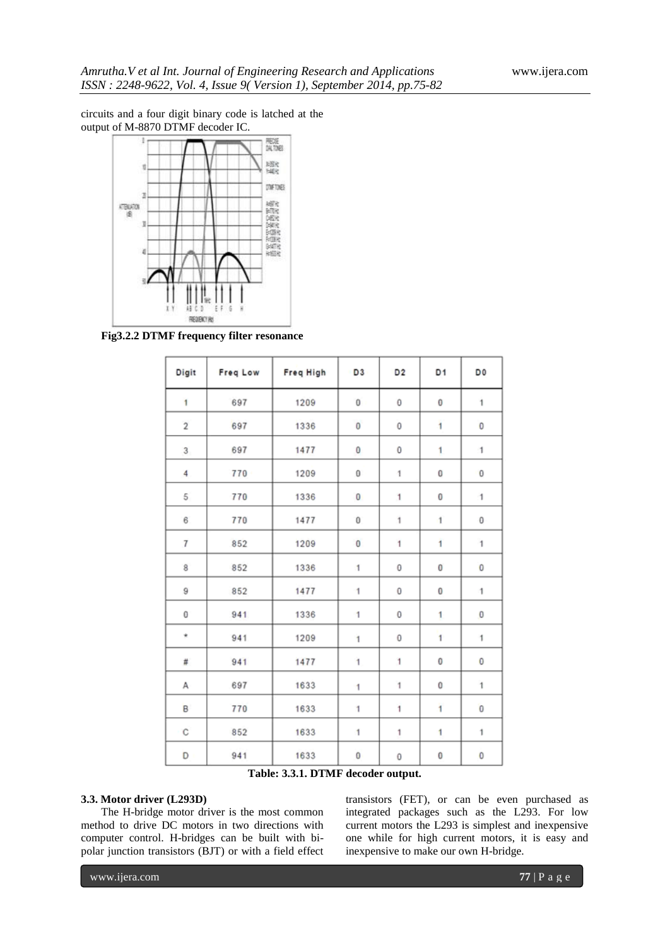circuits and a four digit binary code is latched at the output of M-8870 DTMF decoder IC.



**Fig3.2.2 DTMF frequency filter resonance**

| Digit          | Freq Low | Freq High | D3           | D <sub>2</sub> | D <sub>1</sub> | D <sub>0</sub> |
|----------------|----------|-----------|--------------|----------------|----------------|----------------|
| 1              | 697      | 1209      | $\mathbf{0}$ | 0              | 0              | $\mathbf{1}$   |
| $\overline{2}$ | 697      | 1336      | $\bf{0}$     | 0              | 1              | 0              |
| 3              | 697      | 1477      | 0            | 0              | 1              | 1              |
| 4              | 770      | 1209      | 0            | 1              | 0              | $\bf{0}$       |
| $\sqrt{5}$     | 770      | 1336      | 0            | 1              | 0              | 1              |
| 6              | 770      | 1477      | 0            | 1              | 1              | 0              |
| $\overline{1}$ | 852      | 1209      | $\bf{0}$     | 1              | $\overline{1}$ | $\mathbf{1}$   |
| 8              | 852      | 1336      | 1            | 0              | 0              | 0              |
| 9              | 852      | 1477      | 1            | 0              | 0              | 1              |
| 0              | 941      | 1336      | 1            | 0              | $\mathbf{1}$   | $\bf{0}$       |
| $\star$        | 941      | 1209      | 1            | 0              | 1              | 1              |
| #              | 941      | 1477      | 1            | 1              | 0              | 0              |
| Α              | 697      | 1633      | 1            | 1              | 0              | $\mathbf{1}$   |
| B              | 770      | 1633      | 1            | 1              | ï              | $\bf{0}$       |
| C              | 852      | 1633      | 1            | 1              | $\mathbf{1}$   | 1              |
| D              | 941      | 1633      | 0            | 0              | 0              | 0              |

**Table: 3.3.1. DTMF decoder output.**

### **3.3. Motor driver (L293D)**

The H-bridge motor driver is the most common method to drive DC motors in two directions with computer control. H-bridges can be built with bipolar junction transistors (BJT) or with a field effect

transistors (FET), or can be even purchased as integrated packages such as the L293. For low current motors the L293 is simplest and inexpensive one while for high current motors, it is easy and inexpensive to make our own H-bridge.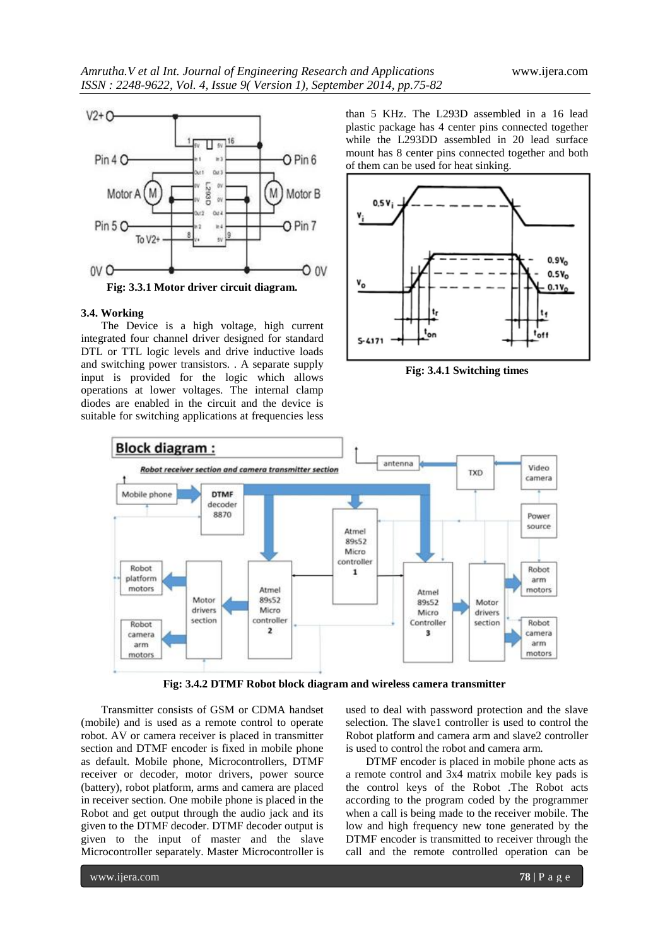

**Fig: 3.3.1 Motor driver circuit diagram.**

#### **3.4. Working**

The Device is a high voltage, high current integrated four channel driver designed for standard DTL or TTL logic levels and drive inductive loads and switching power transistors. . A separate supply input is provided for the logic which allows operations at lower voltages. The internal clamp diodes are enabled in the circuit and the device is suitable for switching applications at frequencies less

than 5 KHz. The L293D assembled in a 16 lead plastic package has 4 center pins connected together while the L293DD assembled in 20 lead surface mount has 8 center pins connected together and both of them can be used for heat sinking.



**Fig: 3.4.1 Switching times**



**Fig: 3.4.2 DTMF Robot block diagram and wireless camera transmitter**

Transmitter consists of GSM or CDMA handset (mobile) and is used as a remote control to operate robot. AV or camera receiver is placed in transmitter section and DTMF encoder is fixed in mobile phone as default. Mobile phone, Microcontrollers, DTMF receiver or decoder, motor drivers, power source (battery), robot platform, arms and camera are placed in receiver section. One mobile phone is placed in the Robot and get output through the audio jack and its given to the DTMF decoder. DTMF decoder output is given to the input of master and the slave Microcontroller separately. Master Microcontroller is

used to deal with password protection and the slave selection. The slave1 controller is used to control the Robot platform and camera arm and slave2 controller is used to control the robot and camera arm.

DTMF encoder is placed in mobile phone acts as a remote control and 3x4 matrix mobile key pads is the control keys of the Robot .The Robot acts according to the program coded by the programmer when a call is being made to the receiver mobile. The low and high frequency new tone generated by the DTMF encoder is transmitted to receiver through the call and the remote controlled operation can be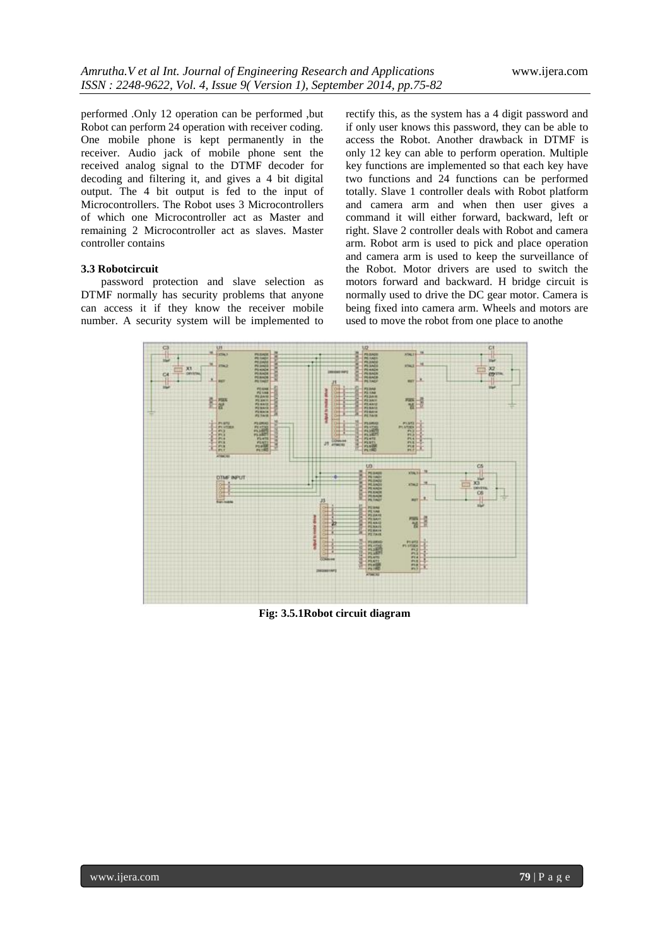performed .Only 12 operation can be performed ,but Robot can perform 24 operation with receiver coding. One mobile phone is kept permanently in the receiver. Audio jack of mobile phone sent the received analog signal to the DTMF decoder for decoding and filtering it, and gives a 4 bit digital output. The 4 bit output is fed to the input of Microcontrollers. The Robot uses 3 Microcontrollers of which one Microcontroller act as Master and remaining 2 Microcontroller act as slaves. Master controller contains

#### **3.3 Robotcircuit**

password protection and slave selection as DTMF normally has security problems that anyone can access it if they know the receiver mobile number. A security system will be implemented to

rectify this, as the system has a 4 digit password and if only user knows this password, they can be able to access the Robot. Another drawback in DTMF is only 12 key can able to perform operation. Multiple key functions are implemented so that each key have two functions and 24 functions can be performed totally. Slave 1 controller deals with Robot platform and camera arm and when then user gives a command it will either forward, backward, left or right. Slave 2 controller deals with Robot and camera arm. Robot arm is used to pick and place operation and camera arm is used to keep the surveillance of the Robot. Motor drivers are used to switch the motors forward and backward. H bridge circuit is normally used to drive the DC gear motor. Camera is being fixed into camera arm. Wheels and motors are used to move the robot from one place to anothe



**Fig: 3.5.1Robot circuit diagram**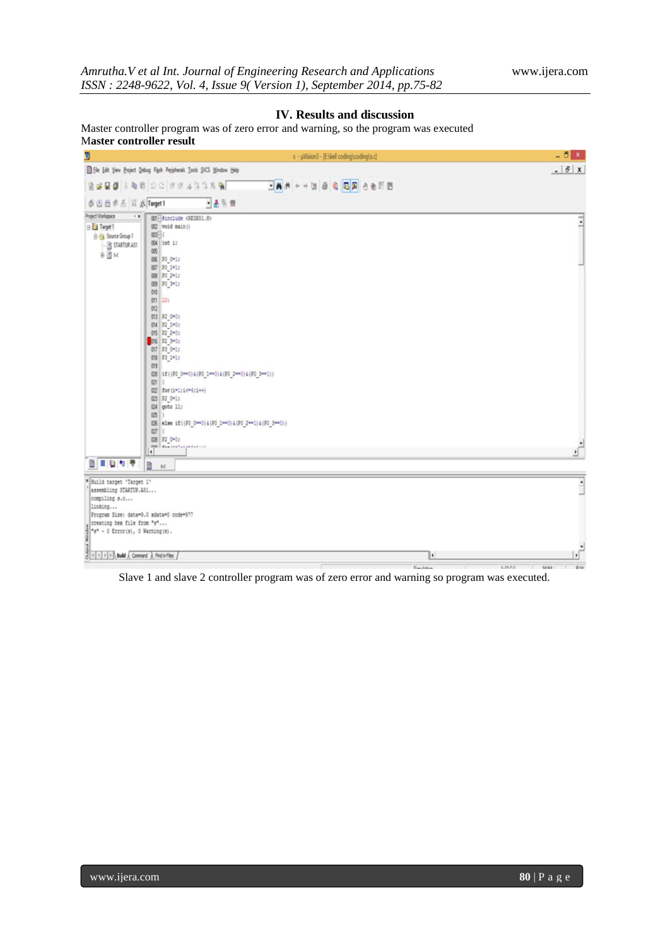# **IV. Results and discussion**

Master controller program was of zero error and warning, so the program was executed M**aster controller result**



Slave 1 and slave 2 controller program was of zero error and warning so program was executed.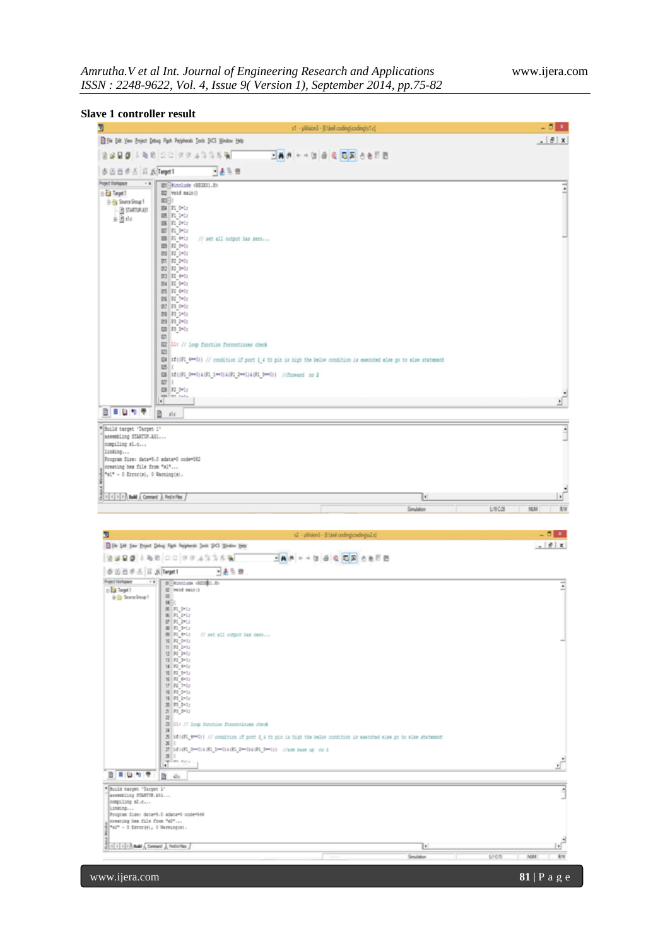| <b>Slave 1 controller result</b> |  |  |  |  |
|----------------------------------|--|--|--|--|
|----------------------------------|--|--|--|--|

|                                                                           |                                                                                                                                                                                                                                                                                                                | s1 - µVision3 - [Elkell coding),coding\s1.c]                                                                         | $-5x$                                         |
|---------------------------------------------------------------------------|----------------------------------------------------------------------------------------------------------------------------------------------------------------------------------------------------------------------------------------------------------------------------------------------------------------|----------------------------------------------------------------------------------------------------------------------|-----------------------------------------------|
|                                                                           | File Edit Vew Project Debug Right Peripherals Tools SVCS Window Help                                                                                                                                                                                                                                           |                                                                                                                      | $ \theta$ x                                   |
|                                                                           | $A B B$ $B$ $\geq$ $C$ $B B$ $A B$ $B$ $A B$                                                                                                                                                                                                                                                                   | □▲ お ← → 図 白 @   □ 図 ⊖ ⊛ 円 图                                                                                         |                                               |
|                                                                           |                                                                                                                                                                                                                                                                                                                |                                                                                                                      |                                               |
| 多百百多舌 耳点Target1<br>Project Norkspace<br>$\cdot$ $\bf{r}$                  | 一番も言                                                                                                                                                                                                                                                                                                           |                                                                                                                      |                                               |
| Big Target T<br>B-B Source Group 1<br><b>B</b> STARTUP AST<br>$8 - 3$ she | 001 #include <regos1.e><br/>002 void main()<br/><math>000 = 0</math><br/>004 F1 0-1:<br/>005 P1 1-1:<br/>OOK P1 2-1:<br/>007 71 3-1:<br/>008 F1 4-1:<br/>// set all output has sero<br/>009 72 0-0c<br/>010 F2 1-0c<br/>011 P2 2-0c<br/>012 P2 3=0c<br/>013 P2 4+0g<br/>014 72 5-01<br/>015 P2 6+0g</regos1.e> |                                                                                                                      |                                               |
|                                                                           | 016 22 7-0c<br>017 P3 0-0c<br>018 23 1-0:<br>019 P3 2-0:<br>020 73 3-0;<br><b>co</b><br>02 11: // loop function forcontinues check<br>$\infty$<br>025<br>03 1f ((Pl 0-4) 4(Pl 1-4) 4(Pl 2-4) 4(Pl 3-4)) //forward no 2                                                                                         | 034 if ((Pl_4==0)) // condition if port 1_4 th pin is high the below condition is executed else go to else statement |                                               |
|                                                                           | $027$ {<br>O28 F2 0-1:                                                                                                                                                                                                                                                                                         |                                                                                                                      |                                               |
| 日目山竹亭                                                                     | and link turn.                                                                                                                                                                                                                                                                                                 |                                                                                                                      | $\bullet$                                     |
| * Build target 'Target 1'                                                 | Ð<br>sic                                                                                                                                                                                                                                                                                                       |                                                                                                                      |                                               |
| creating hex file from "sl"<br>"sl" - 0 Error(s), 0 Warning(s).           |                                                                                                                                                                                                                                                                                                                |                                                                                                                      |                                               |
| E   <   +   >   +   Build + Command +   Find in Files +                   |                                                                                                                                                                                                                                                                                                                | I۰<br>Smulation                                                                                                      | L19 C.28<br><b>NJM</b>                        |
|                                                                           |                                                                                                                                                                                                                                                                                                                |                                                                                                                      |                                               |
| Ы                                                                         |                                                                                                                                                                                                                                                                                                                | s2 - "Wision3 - [Et/asl coding)coding/s2.c]                                                                          |                                               |
|                                                                           | B File Edit View Broject Debug Figsh Peripherals Tools SIGS Window Help                                                                                                                                                                                                                                        |                                                                                                                      |                                               |
|                                                                           | 2899102022222                                                                                                                                                                                                                                                                                                  | □再进一十倍每日日平日的回回                                                                                                       |                                               |
| 空巴西半舌 耳 K Target1<br>Project Workspace<br>$\cdot$ x                       | 一品元期<br><b>Billington GEORIA</b>                                                                                                                                                                                                                                                                               |                                                                                                                      |                                               |
| B Target T<br>B-B Source Group 1                                          | (2 void main ()<br>$\Box$<br>$W_1$<br>05 PL 0-1;                                                                                                                                                                                                                                                               |                                                                                                                      |                                               |
|                                                                           | 06 P1 1-1;<br><b>IP PL 2*1;</b><br>08 PL 3-1/<br>$09$ $P1$ $4*1$ ;<br>// set all output has zero                                                                                                                                                                                                               |                                                                                                                      | $\sqrt{2}$<br>RW<br>$-0x$<br>$ \theta$ x<br>∃ |
|                                                                           | 10 92 0×1;<br>$11$ $82$ $2*5z$<br>12 92 2=3;<br>13 92 3-3;                                                                                                                                                                                                                                                     |                                                                                                                      |                                               |
|                                                                           | 18 P2 4=0;<br>15 R2 5-02<br>$\begin{array}{c} 16 \\ 17 \\ 17 \\ 18 \\ 19 \\ 01 \\ 011 \\ \end{array} \begin{array}{c} 6 \times 0.2 \\ -0.2 \\ 0.2 \\ 0.2 \\ 0.2 \\ \end{array}$                                                                                                                                |                                                                                                                      |                                               |
|                                                                           | 19 93 1-32<br>20 71 2-1;<br>21 23 3=1;<br>$\frac{1}{2}$                                                                                                                                                                                                                                                        |                                                                                                                      |                                               |
|                                                                           | 23 11: // loop function foresetiouss check<br>24<br>$\mathbf{X}$                                                                                                                                                                                                                                               | 25 if ((Pi_4***)) // condition if port 1_4 th pin is high the below condition is executed else go to alse statement  |                                               |
|                                                                           | 27   12 ((Pl_D==0) 4 (Rl_1==0) 4 (Pl_2==0) 4 (Pl_3==1) ) //amm hase up no 1<br>28                                                                                                                                                                                                                              |                                                                                                                      |                                               |
| 日目位ので                                                                     | $\frac{1}{2}$<br>b<br>$\alpha$                                                                                                                                                                                                                                                                                 |                                                                                                                      |                                               |
| "Build target "Target 1"<br>assembling STARTUP.ASL                        |                                                                                                                                                                                                                                                                                                                |                                                                                                                      |                                               |
| compiling s2.c<br>linking<br>creating hex file from "s2"                  | Program Size: data=9.0 xdata=0 code=546                                                                                                                                                                                                                                                                        |                                                                                                                      |                                               |
| "s2" - 0 Error(s), 0 Warming(s).                                          |                                                                                                                                                                                                                                                                                                                |                                                                                                                      |                                               |
| [x] <   >   >   Avid \ Connard } Fedin Ries }                             |                                                                                                                                                                                                                                                                                                                | Ŀ<br>Smulation                                                                                                       | ď<br>Lt C15<br>NJM<br>R/W                     |